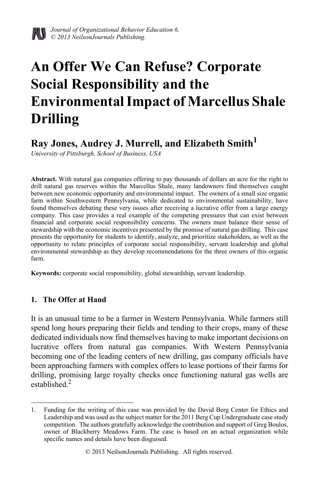

# **An Offer We Can Refuse? Corporate Social Responsibility and the Environmental Impact of Marcellus Shale Drilling**

# **Ray Jones, Audrey J. Murrell, and Elizabeth Smith1**

*University of Pittsburgh, School of Business, USA*

**Abstract.** With natural gas companies offering to pay thousands of dollars an acre for the right to drill natural gas reserves within the Marcellus Shale, many landowners find themselves caught between new economic opportunity and environmental impact. The owners of a small size organic farm within Southwestern Pennsylvania, while dedicated to environmental sustainability, have found themselves debating these very issues after receiving a lucrative offer from a large energy company. This case provides a real example of the competing pressures that can exist between financial and corporate social responsibility concerns. The owners must balance their sense of stewardship with the economic incentives presented by the promise of natural gas drilling. This case presents the opportunity for students to identify, analyze, and prioritize stakeholders, as well as the opportunity to relate principles of corporate social responsibility, servant leadership and global environmental stewardship as they develop recommendations for the three owners of this organic farm.

**Keywords:** corporate social responsibility, global stewardship, servant leadership.

# **1. The Offer at Hand**

It is an unusual time to be a farmer in Western Pennsylvania. While farmers still spend long hours preparing their fields and tending to their crops, many of these dedicated individuals now find themselves having to make important decisions on lucrative offers from natural gas companies. With Western Pennsylvania becoming one of the leading centers of new drilling, gas company officials have been approaching farmers with complex offers to lease portions of their farms for drilling, promising large royalty checks once functioning natural gas wells are established<sup>2</sup>

<sup>1.</sup> Funding for the writing of this case was provided by the David Berg Center for Ethics and Leadership and was used as the subject matter for the 2011 Berg Cup Undergraduate case study competition. The authors gratefully acknowledge the contribution and support of Greg Boulos, owner of Blackberry Meadows Farm. The case is based on an actual organization while specific names and details have been disguised.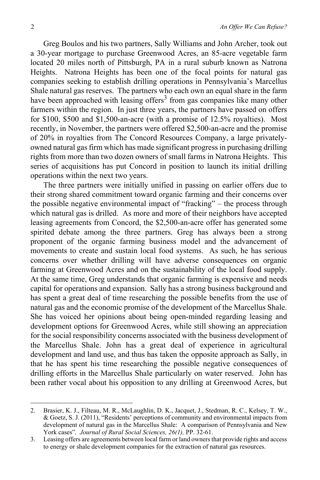Greg Boulos and his two partners, Sally Williams and John Archer, took out a 30-year mortgage to purchase Greenwood Acres, an 85-acre vegetable farm located 20 miles north of Pittsburgh, PA in a rural suburb known as Natrona Heights. Natrona Heights has been one of the focal points for natural gas companies seeking to establish drilling operations in Pennsylvania's Marcellus Shale natural gas reserves. The partners who each own an equal share in the farm have been approached with leasing offers<sup>3</sup> from gas companies like many other farmers within the region. In just three years, the partners have passed on offers for \$100, \$500 and \$1,500-an-acre (with a promise of 12.5% royalties). Most recently, in November, the partners were offered \$2,500-an-acre and the promise of 20% in royalties from The Concord Resources Company, a large privatelyowned natural gas firm which has made significant progress in purchasing drilling rights from more than two dozen owners of small farms in Natrona Heights. This series of acquisitions has put Concord in position to launch its initial drilling operations within the next two years.

The three partners were initially unified in passing on earlier offers due to their strong shared commitment toward organic farming and their concerns over the possible negative environmental impact of "fracking" – the process through which natural gas is drilled. As more and more of their neighbors have accepted leasing agreements from Concord, the \$2,500-an-acre offer has generated some spirited debate among the three partners. Greg has always been a strong proponent of the organic farming business model and the advancement of movements to create and sustain local food systems. As such, he has serious concerns over whether drilling will have adverse consequences on organic farming at Greenwood Acres and on the sustainability of the local food supply. At the same time, Greg understands that organic farming is expensive and needs capital for operations and expansion. Sally has a strong business background and has spent a great deal of time researching the possible benefits from the use of natural gas and the economic promise of the development of the Marcellus Shale. She has voiced her opinions about being open-minded regarding leasing and development options for Greenwood Acres, while still showing an appreciation for the social responsibility concerns associated with the business development of the Marcellus Shale. John has a great deal of experience in agricultural development and land use, and thus has taken the opposite approach as Sally, in that he has spent his time researching the possible negative consequences of drilling efforts in the Marcellus Shale particularly on water reserved. John has been rather vocal about his opposition to any drilling at Greenwood Acres, but

<sup>2.</sup> Brasier, K. J., Filteau, M. R., McLaughlin, D. K., Jacquet, J., Stedman, R. C., Kelsey, T. W., & Goetz, S. J. (2011), "Residents' perceptions of community and environmental impacts from development of natural gas in the Marcellus Shale: A comparison of Pennsylvania and New York cases"*, Journal of Rural Social Sciences, 26(1),* PP. 32-61.

<sup>3.</sup> Leasing offers are agreements between local farm or land owners that provide rights and access to energy or shale development companies for the extraction of natural gas resources.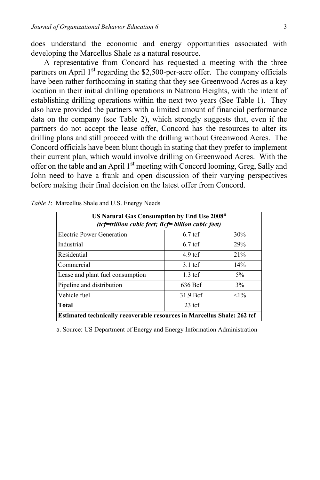does understand the economic and energy opportunities associated with developing the Marcellus Shale as a natural resource.

A representative from Concord has requested a meeting with the three partners on April  $1<sup>st</sup>$  regarding the \$2,500-per-acre offer. The company officials have been rather forthcoming in stating that they see Greenwood Acres as a key location in their initial drilling operations in Natrona Heights, with the intent of establishing drilling operations within the next two years (See Table 1). They also have provided the partners with a limited amount of financial performance data on the company (see Table 2), which strongly suggests that, even if the partners do not accept the lease offer, Concord has the resources to alter its drilling plans and still proceed with the drilling without Greenwood Acres. The Concord officials have been blunt though in stating that they prefer to implement their current plan, which would involve drilling on Greenwood Acres. With the offer on the table and an April 1<sup>st</sup> meeting with Concord looming, Greg, Sally and John need to have a frank and open discussion of their varying perspectives before making their final decision on the latest offer from Concord.

| US Natural Gas Consumption by End Use 2008 <sup>a</sup><br>(tcf=trillion cubic feet; Bcf= billion cubic feet) |                   |        |  |  |  |  |
|---------------------------------------------------------------------------------------------------------------|-------------------|--------|--|--|--|--|
| Electric Power Generation                                                                                     | $6.7$ tcf         | 30%    |  |  |  |  |
| Industrial                                                                                                    | $6.7 \text{ tcf}$ | 29%    |  |  |  |  |
| Residential                                                                                                   | $4.9 \text{ tcf}$ | 21%    |  |  |  |  |
| Commercial                                                                                                    | $3.1 \text{ tcf}$ | 14%    |  |  |  |  |
| Lease and plant fuel consumption                                                                              | $1.3$ tcf         | $5\%$  |  |  |  |  |
| Pipeline and distribution                                                                                     | 636 Bcf           | 3%     |  |  |  |  |
| Vehicle fuel                                                                                                  | 31.9 Bcf          | $<1\%$ |  |  |  |  |
| $23$ tcf<br>Total                                                                                             |                   |        |  |  |  |  |
| Estimated technically recoverable resources in Marcellus Shale: 262 tef                                       |                   |        |  |  |  |  |

| Table 1: Marcellus Shale and U.S. Energy Needs |  |  |  |  |
|------------------------------------------------|--|--|--|--|
|------------------------------------------------|--|--|--|--|

a. Source: US Department of Energy and Energy Information Administration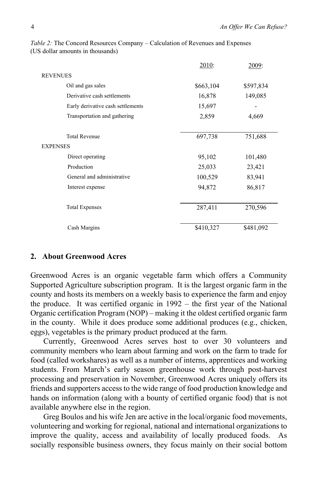|                                   | 2010:     | 2009:     |
|-----------------------------------|-----------|-----------|
| <b>REVENUES</b>                   |           |           |
| Oil and gas sales                 | \$663,104 | \$597,834 |
| Derivative cash settlements       | 16,878    | 149,085   |
| Early derivative cash settlements | 15,697    |           |
| Transportation and gathering      | 2,859     | 4,669     |
|                                   |           |           |
| <b>Total Revenue</b>              | 697,738   | 751,688   |
| <b>EXPENSES</b>                   |           |           |
| Direct operating                  | 95,102    | 101,480   |
| Production                        | 25,033    | 23,421    |
| General and administrative        | 100,529   | 83,941    |
| Interest expense                  | 94,872    | 86,817    |
|                                   |           |           |
| <b>Total Expenses</b>             | 287,411   | 270,596   |
|                                   |           |           |
| Cash Margins                      | \$410,327 | \$481,092 |
|                                   |           |           |

*Table 2:* The Concord Resources Company – Calculation of Revenues and Expenses (US dollar amounts in thousands)

### **2. About Greenwood Acres**

Greenwood Acres is an organic vegetable farm which offers a Community Supported Agriculture subscription program. It is the largest organic farm in the county and hosts its members on a weekly basis to experience the farm and enjoy the produce. It was certified organic in 1992 – the first year of the National Organic certification Program (NOP) – making it the oldest certified organic farm in the county. While it does produce some additional produces (e.g., chicken, eggs), vegetables is the primary product produced at the farm.

Currently, Greenwood Acres serves host to over 30 volunteers and community members who learn about farming and work on the farm to trade for food (called workshares) as well as a number of interns, apprentices and working students. From March's early season greenhouse work through post-harvest processing and preservation in November, Greenwood Acres uniquely offers its friends and supporters access to the wide range of food production knowledge and hands on information (along with a bounty of certified organic food) that is not available anywhere else in the region.

Greg Boulos and his wife Jen are active in the local/organic food movements, volunteering and working for regional, national and international organizations to improve the quality, access and availability of locally produced foods. As socially responsible business owners, they focus mainly on their social bottom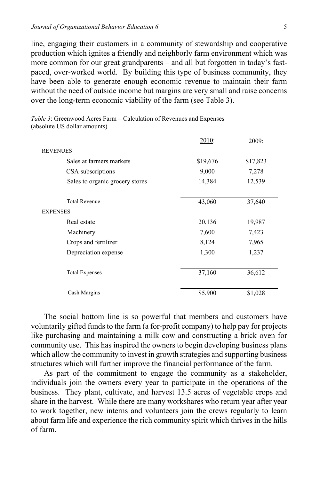line, engaging their customers in a community of stewardship and cooperative production which ignites a friendly and neighborly farm environment which was more common for our great grandparents – and all but forgotten in today's fastpaced, over-worked world. By building this type of business community, they have been able to generate enough economic revenue to maintain their farm without the need of outside income but margins are very small and raise concerns over the long-term economic viability of the farm (see Table 3).

*Table 3*: Greenwood Acres Farm – Calculation of Revenues and Expenses (absolute US dollar amounts)

|                                 | 2010:    | 2009:    |
|---------------------------------|----------|----------|
| <b>REVENUES</b>                 |          |          |
| Sales at farmers markets        | \$19,676 | \$17,823 |
| CSA subscriptions               | 9,000    | 7,278    |
| Sales to organic grocery stores | 14,384   | 12,539   |
| <b>Total Revenue</b>            | 43,060   | 37,640   |
| <b>EXPENSES</b>                 |          |          |
| Real estate                     | 20,136   | 19,987   |
| Machinery                       | 7,600    | 7,423    |
| Crops and fertilizer            | 8,124    | 7,965    |
| Depreciation expense            | 1,300    | 1,237    |
| <b>Total Expenses</b>           | 37,160   | 36,612   |
| Cash Margins                    | \$5,900  | \$1,028  |

The social bottom line is so powerful that members and customers have voluntarily gifted funds to the farm (a for-profit company) to help pay for projects like purchasing and maintaining a milk cow and constructing a brick oven for community use. This has inspired the owners to begin developing business plans which allow the community to invest in growth strategies and supporting business structures which will further improve the financial performance of the farm.

As part of the commitment to engage the community as a stakeholder, individuals join the owners every year to participate in the operations of the business. They plant, cultivate, and harvest 13.5 acres of vegetable crops and share in the harvest. While there are many workshares who return year after year to work together, new interns and volunteers join the crews regularly to learn about farm life and experience the rich community spirit which thrives in the hills of farm.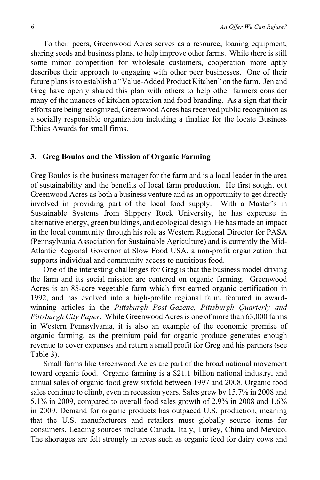To their peers, Greenwood Acres serves as a resource, loaning equipment, sharing seeds and business plans, to help improve other farms. While there is still some minor competition for wholesale customers, cooperation more aptly describes their approach to engaging with other peer businesses. One of their future plans is to establish a "Value-Added Product Kitchen" on the farm. Jen and Greg have openly shared this plan with others to help other farmers consider many of the nuances of kitchen operation and food branding. As a sign that their efforts are being recognized, Greenwood Acres has received public recognition as a socially responsible organization including a finalize for the locate Business Ethics Awards for small firms.

## **3. Greg Boulos and the Mission of Organic Farming**

Greg Boulos is the business manager for the farm and is a local leader in the area of sustainability and the benefits of local farm production. He first sought out Greenwood Acres as both a business venture and as an opportunity to get directly involved in providing part of the local food supply. With a Master's in Sustainable Systems from Slippery Rock University, he has expertise in alternative energy, green buildings, and ecological design. He has made an impact in the local community through his role as Western Regional Director for PASA (Pennsylvania Association for Sustainable Agriculture) and is currently the Mid-Atlantic Regional Governor at Slow Food USA, a non-profit organization that supports individual and community access to nutritious food.

One of the interesting challenges for Greg is that the business model driving the farm and its social mission are centered on organic farming. Greenwood Acres is an 85-acre vegetable farm which first earned organic certification in 1992, and has evolved into a high-profile regional farm, featured in awardwinning articles in the *Pittsburgh Post-Gazette, Pittsburgh Quarterly and Pittsburgh City Paper*. While Greenwood Acres is one of more than 63,000 farms in Western Pennsylvania, it is also an example of the economic promise of organic farming, as the premium paid for organic produce generates enough revenue to cover expenses and return a small profit for Greg and his partners (see Table 3).

Small farms like Greenwood Acres are part of the broad national movement toward organic food. Organic farming is a \$21.1 billion national industry, and annual sales of organic food grew sixfold between 1997 and 2008. Organic food sales continue to climb, even in recession years. Sales grew by 15.7% in 2008 and 5.1% in 2009, compared to overall food sales growth of 2.9% in 2008 and 1.6% in 2009. Demand for organic products has outpaced U.S. production, meaning that the U.S. manufacturers and retailers must globally source items for consumers. Leading sources include Canada, Italy, Turkey, China and Mexico. The shortages are felt strongly in areas such as organic feed for dairy cows and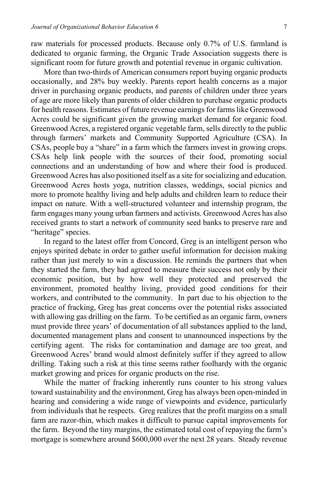raw materials for processed products. Because only 0.7% of U.S. farmland is dedicated to organic farming, the Organic Trade Association suggests there is significant room for future growth and potential revenue in organic cultivation.

More than two-thirds of American consumers report buying organic products occasionally, and 28% buy weekly. Parents report health concerns as a major driver in purchasing organic products, and parents of children under three years of age are more likely than parents of older children to purchase organic products for health reasons. Estimates of future revenue earnings for farms like Greenwood Acres could be significant given the growing market demand for organic food. Greenwood Acres, a registered organic vegetable farm, sells directly to the public through farmers' markets and Community Supported Agriculture (CSA). In CSAs, people buy a "share" in a farm which the farmers invest in growing crops. CSAs help link people with the sources of their food, promoting social connections and an understanding of how and where their food is produced. Greenwood Acres has also positioned itself as a site for socializing and education. Greenwood Acres hosts yoga, nutrition classes, weddings, social picnics and more to promote healthy living and help adults and children learn to reduce their impact on nature. With a well-structured volunteer and internship program, the farm engages many young urban farmers and activists. Greenwood Acres has also received grants to start a network of community seed banks to preserve rare and "heritage" species.

In regard to the latest offer from Concord, Greg is an intelligent person who enjoys spirited debate in order to gather useful information for decision making rather than just merely to win a discussion. He reminds the partners that when they started the farm, they had agreed to measure their success not only by their economic position, but by how well they protected and preserved the environment, promoted healthy living, provided good conditions for their workers, and contributed to the community. In part due to his objection to the practice of fracking, Greg has great concerns over the potential risks associated with allowing gas drilling on the farm. To be certified as an organic farm, owners must provide three years' of documentation of all substances applied to the land, documented management plans and consent to unannounced inspections by the certifying agent. The risks for contamination and damage are too great, and Greenwood Acres' brand would almost definitely suffer if they agreed to allow drilling. Taking such a risk at this time seems rather foolhardy with the organic market growing and prices for organic products on the rise.

While the matter of fracking inherently runs counter to his strong values toward sustainability and the environment, Greg has always been open-minded in hearing and considering a wide range of viewpoints and evidence, particularly from individuals that he respects. Greg realizes that the profit margins on a small farm are razor-thin, which makes it difficult to pursue capital improvements for the farm. Beyond the tiny margins, the estimated total cost of repaying the farm's mortgage is somewhere around \$600,000 over the next 28 years. Steady revenue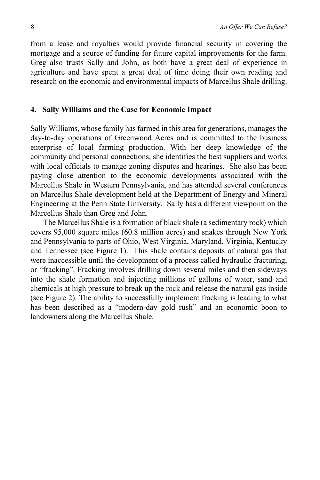from a lease and royalties would provide financial security in covering the mortgage and a source of funding for future capital improvements for the farm. Greg also trusts Sally and John, as both have a great deal of experience in agriculture and have spent a great deal of time doing their own reading and research on the economic and environmental impacts of Marcellus Shale drilling.

### **4. Sally Williams and the Case for Economic Impact**

Sally Williams, whose family has farmed in this area for generations, manages the day-to-day operations of Greenwood Acres and is committed to the business enterprise of local farming production. With her deep knowledge of the community and personal connections, she identifies the best suppliers and works with local officials to manage zoning disputes and hearings. She also has been paying close attention to the economic developments associated with the Marcellus Shale in Western Pennsylvania, and has attended several conferences on Marcellus Shale development held at the Department of Energy and Mineral Engineering at the Penn State University. Sally has a different viewpoint on the Marcellus Shale than Greg and John.

The Marcellus Shale is a formation of black shale (a sedimentary rock) which covers 95,000 square miles (60.8 million acres) and snakes through New York and Pennsylvania to parts of Ohio, West Virginia, Maryland, Virginia, Kentucky and Tennessee (see Figure 1). This shale contains deposits of natural gas that were inaccessible until the development of a process called hydraulic fracturing, or "fracking". Fracking involves drilling down several miles and then sideways into the shale formation and injecting millions of gallons of water, sand and chemicals at high pressure to break up the rock and release the natural gas inside (see Figure 2). The ability to successfully implement fracking is leading to what has been described as a "modern-day gold rush" and an economic boon to landowners along the Marcellus Shale.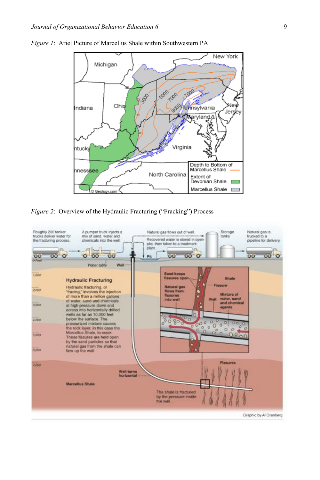

*Figure 1*:Ariel Picture of Marcellus Shale within Southwestern PA

*Figure 2*: Overview of the Hydraulic Fracturing ("Fracking") Process

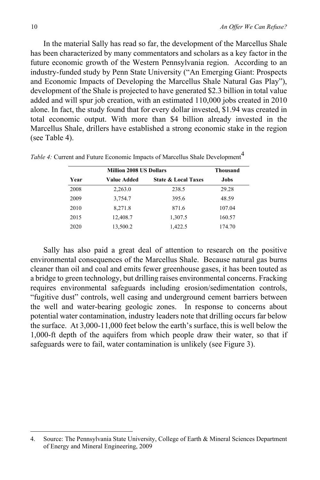In the material Sally has read so far, the development of the Marcellus Shale has been characterized by many commentators and scholars as a key factor in the future economic growth of the Western Pennsylvania region. According to an industry-funded study by Penn State University ("An Emerging Giant: Prospects and Economic Impacts of Developing the Marcellus Shale Natural Gas Play"), development of the Shale is projected to have generated \$2.3 billion in total value added and will spur job creation, with an estimated 110,000 jobs created in 2010 alone. In fact, the study found that for every dollar invested, \$1.94 was created in total economic output. With more than \$4 billion already invested in the Marcellus Shale, drillers have established a strong economic stake in the region (see Table 4).

|      | <b>Thousand</b> |                                |        |
|------|-----------------|--------------------------------|--------|
| Year | Value Added     | <b>State &amp; Local Taxes</b> | Jobs   |
| 2008 | 2,263.0         | 238.5                          | 29.28  |
| 2009 | 3,754.7         | 395.6                          | 48.59  |
| 2010 | 8,271.8         | 871.6                          | 107.04 |
| 2015 | 12,408.7        | 1,307.5                        | 160.57 |
| 2020 | 13,500.2        | 1,422.5                        | 174.70 |

*Table 4:* Current and Future Economic Impacts of Marcellus Shale Development<sup>4</sup>

Sally has also paid a great deal of attention to research on the positive environmental consequences of the Marcellus Shale. Because natural gas burns cleaner than oil and coal and emits fewer greenhouse gases, it has been touted as a bridge to green technology, but drilling raises environmental concerns. Fracking requires environmental safeguards including erosion/sedimentation controls, "fugitive dust" controls, well casing and underground cement barriers between the well and water-bearing geologic zones. In response to concerns about potential water contamination, industry leaders note that drilling occurs far below the surface. At 3,000-11,000 feet below the earth's surface, this is well below the 1,000-ft depth of the aquifers from which people draw their water, so that if safeguards were to fail, water contamination is unlikely (see Figure 3).

<sup>4.</sup> Source: The Pennsylvania State University, College of Earth & Mineral Sciences Department of Energy and Mineral Engineering, 2009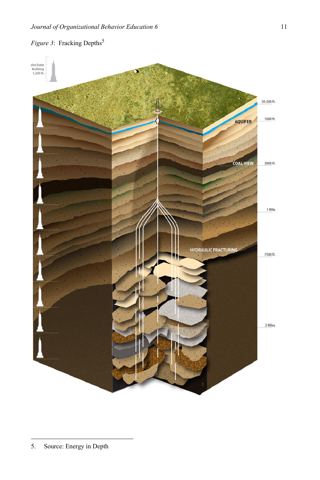1 Mile

# pire State<br>Building<br>1,250 ft. 50-200 ft. 1000 ft. AQUIFER **COAL VIEW** 3000 ft. **HYDRAULIC FRACTURING** 7500 ft. 2 Miles

# *Figure 3*: Fracking Depths<sup>5</sup>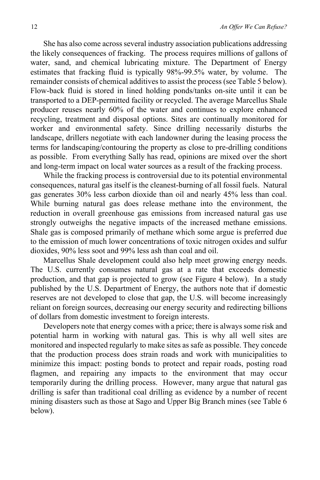She has also come across several industry association publications addressing the likely consequences of fracking. The process requires millions of gallons of water, sand, and chemical lubricating mixture. The Department of Energy estimates that fracking fluid is typically 98%-99.5% water, by volume. The remainder consists of chemical additives to assist the process (see Table 5 below). Flow-back fluid is stored in lined holding ponds/tanks on-site until it can be transported to a DEP-permitted facility or recycled. The average Marcellus Shale producer reuses nearly 60% of the water and continues to explore enhanced recycling, treatment and disposal options. Sites are continually monitored for worker and environmental safety. Since drilling necessarily disturbs the landscape, drillers negotiate with each landowner during the leasing process the terms for landscaping/contouring the property as close to pre-drilling conditions as possible. From everything Sally has read, opinions are mixed over the short and long-term impact on local water sources as a result of the fracking process.

While the fracking process is controversial due to its potential environmental consequences, natural gas itself is the cleanest-burning of all fossil fuels. Natural gas generates 30% less carbon dioxide than oil and nearly 45% less than coal. While burning natural gas does release methane into the environment, the reduction in overall greenhouse gas emissions from increased natural gas use strongly outweighs the negative impacts of the increased methane emissions. Shale gas is composed primarily of methane which some argue is preferred due to the emission of much lower concentrations of toxic nitrogen oxides and sulfur dioxides, 90% less soot and 99% less ash than coal and oil.

Marcellus Shale development could also help meet growing energy needs. The U.S. currently consumes natural gas at a rate that exceeds domestic production, and that gap is projected to grow (see Figure 4 below). In a study published by the U.S. Department of Energy, the authors note that if domestic reserves are not developed to close that gap, the U.S. will become increasingly reliant on foreign sources, decreasing our energy security and redirecting billions of dollars from domestic investment to foreign interests.

Developers note that energy comes with a price; there is always some risk and potential harm in working with natural gas. This is why all well sites are monitored and inspected regularly to make sites as safe as possible. They concede that the production process does strain roads and work with municipalities to minimize this impact: posting bonds to protect and repair roads, posting road flagmen, and repairing any impacts to the environment that may occur temporarily during the drilling process. However, many argue that natural gas drilling is safer than traditional coal drilling as evidence by a number of recent mining disasters such as those at Sago and Upper Big Branch mines (see Table 6 below).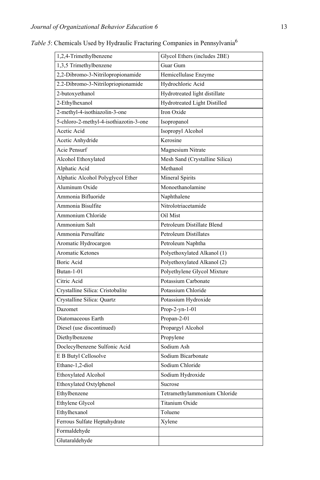| 1,2,4-Trimethylbenzene                 | Glycol Ethers (includes 2BE)   |
|----------------------------------------|--------------------------------|
| 1,3,5 Trimethylbenzene                 | Guar Gum                       |
| 2,2-Dibromo-3-Nitrilopropionamide      | Hemicellulase Enzyme           |
| 2.2-Dibromo-3-Nitrilopriopionamide     | Hydrochloric Acid              |
| 2-butoxyethanol                        | Hydrotreated light distillate  |
| 2-Ethylhexanol                         | Hydrotreated Light Distilled   |
| 2-methyl-4-isothiazolin-3-one          | Iron Oxide                     |
| 5-chloro-2-methyl-4-isothiazotin-3-one | Isopropanol                    |
| Acetic Acid                            | Isopropyl Alcohol              |
| Acetic Anhydride                       | Kerosine                       |
| Acie Pensurf                           | Magnesium Nitrate              |
| Alcohol Ethoxylated                    | Mesh Sand (Crystalline Silica) |
| Alphatic Acid                          | Methanol                       |
| Alphatic Alcohol Polyglycol Ether      | Mineral Spirits                |
| Aluminum Oxide                         | Monoethanolamine               |
| Ammonia Bifluoride                     | Naphthalene                    |
| Ammonia Bisulfite                      | Nitrolotriacetamide            |
| Ammonium Chloride                      | Oil Mist                       |
| Ammonium Salt                          | Petroleum Distillate Blend     |
| Ammonia Persulfate                     | Petroleum Distillates          |
| Aromatic Hydrocargon                   | Petroleum Naphtha              |
| Aromatic Ketones                       | Polyethoxylated Alkanol (1)    |
| Boric Acid                             | Polyethoxylated Alkanol (2)    |
| Butan-1-01                             | Polyethylene Glycol Mixture    |
| Citric Acid                            | Potassium Carbonate            |
| Crystalline Silica: Cristobalite       | Potassium Chloride             |
| Crystalline Silica: Quartz             | Potassium Hydroxide            |
| Dazomet                                | Prop-2-yn-1-01                 |
| Diatomaceous Earth                     | Propan-2-01                    |
| Diesel (use discontinued)              | Propargyl Alcohol              |
| Diethylbenzene                         | Propylene                      |
| Doclecylbenzene Sulfonic Acid          | Sodium Ash                     |
| E B Butyl Cellosolve                   | Sodium Bicarbonate             |
| Ethane-1,2-diol                        | Sodium Chloride                |
| Ethoxylated Alcohol                    | Sodium Hydroxide               |
| Ethoxylated Oxtylphenol                | Sucrose                        |
| Ethylbenzene                           | Tetramethylammonium Chloride   |
| Ethylene Glycol                        | Titanium Oxide                 |
| Ethylhexanol                           | Toluene                        |
| Ferrous Sulfate Heptahydrate           | Xylene                         |
| Formaldehyde                           |                                |
| Glutaraldehyde                         |                                |

*Table 5*: Chemicals Used by Hydraulic Fracturing Companies in Pennsylvania6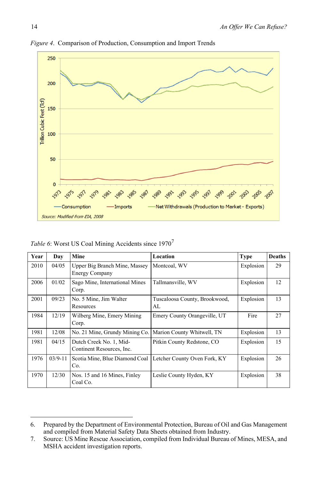

*Figure 4*. Comparison of Production, Consumption and Import Trends

| Table 6: Worst US Coal Mining Accidents since 1970 <sup>7</sup> |
|-----------------------------------------------------------------|
|-----------------------------------------------------------------|

| Year | Day       | Mine                                                   | Location                            | <b>Type</b> | <b>Deaths</b> |
|------|-----------|--------------------------------------------------------|-------------------------------------|-------------|---------------|
| 2010 | 04/05     | Upper Big Branch Mine, Massey<br><b>Energy Company</b> | Montcoal, WV                        |             | 29            |
| 2006 | 01/02     | Sago Mine, International Mines<br>Corp.                | Tallmansville, WV                   | Explosion   | 12            |
| 2001 | 09/23     | No. 5 Mine, Jim Walter<br>Resources                    | Tuscaloosa County, Brookwood,<br>AL | Explosion   | 13            |
| 1984 | 12/19     | Wilberg Mine, Emery Mining<br>Corp.                    | Emery County Orangeville, UT        | Fire        | 27            |
| 1981 | 12/08     | No. 21 Mine, Grundy Mining Co.                         | Marion County Whitwell, TN          | Explosion   | 13            |
| 1981 | 04/15     | Dutch Creek No. 1, Mid-<br>Continent Resources, Inc.   | Pitkin County Redstone, CO          | Explosion   | 15            |
| 1976 | $03/9-11$ | Scotia Mine, Blue Diamond Coal<br>Co.                  | Letcher County Oven Fork, KY        | Explosion   | 26            |
| 1970 | 12/30     | Nos. 15 and 16 Mines, Finley<br>Coal Co.               | Leslie County Hyden, KY             | Explosion   | 38            |

<sup>6.</sup> Prepared by the Department of Environmental Protection, Bureau of Oil and Gas Management and compiled from Material Safety Data Sheets obtained from Industry.

<sup>7.</sup> Source: US Mine Rescue Association, compiled from Individual Bureau of Mines, MESA, and MSHA accident investigation reports.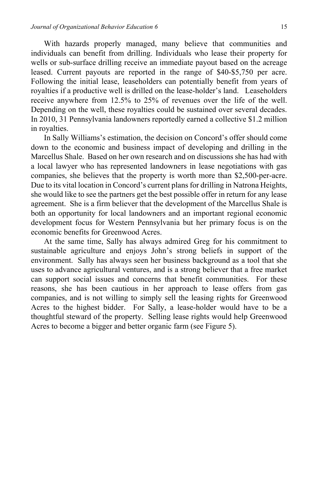With hazards properly managed, many believe that communities and individuals can benefit from drilling. Individuals who lease their property for wells or sub-surface drilling receive an immediate payout based on the acreage leased. Current payouts are reported in the range of \$40-\$5,750 per acre. Following the initial lease, leaseholders can potentially benefit from years of royalties if a productive well is drilled on the lease-holder's land. Leaseholders receive anywhere from 12.5% to 25% of revenues over the life of the well. Depending on the well, these royalties could be sustained over several decades. In 2010, 31 Pennsylvania landowners reportedly earned a collective \$1.2 million in royalties.

In Sally Williams's estimation, the decision on Concord's offer should come down to the economic and business impact of developing and drilling in the Marcellus Shale. Based on her own research and on discussions she has had with a local lawyer who has represented landowners in lease negotiations with gas companies, she believes that the property is worth more than \$2,500-per-acre. Due to its vital location in Concord's current plans for drilling in Natrona Heights, she would like to see the partners get the best possible offer in return for any lease agreement. She is a firm believer that the development of the Marcellus Shale is both an opportunity for local landowners and an important regional economic development focus for Western Pennsylvania but her primary focus is on the economic benefits for Greenwood Acres.

At the same time, Sally has always admired Greg for his commitment to sustainable agriculture and enjoys John's strong beliefs in support of the environment. Sally has always seen her business background as a tool that she uses to advance agricultural ventures, and is a strong believer that a free market can support social issues and concerns that benefit communities. For these reasons, she has been cautious in her approach to lease offers from gas companies, and is not willing to simply sell the leasing rights for Greenwood Acres to the highest bidder. For Sally, a lease-holder would have to be a thoughtful steward of the property. Selling lease rights would help Greenwood Acres to become a bigger and better organic farm (see Figure 5).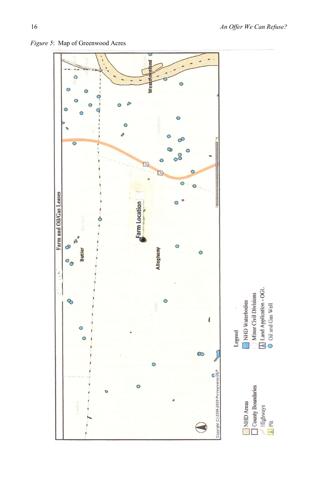

*Figure 5*: Map of Greenwood Acres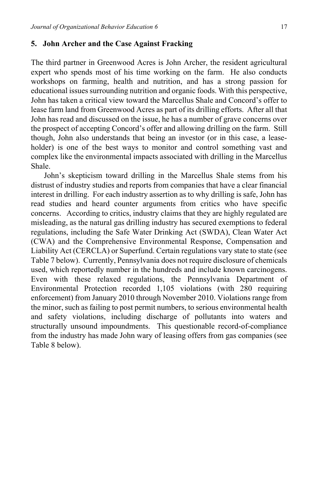### **5. John Archer and the Case Against Fracking**

The third partner in Greenwood Acres is John Archer, the resident agricultural expert who spends most of his time working on the farm. He also conducts workshops on farming, health and nutrition, and has a strong passion for educational issues surrounding nutrition and organic foods. With this perspective, John has taken a critical view toward the Marcellus Shale and Concord's offer to lease farm land from Greenwood Acres as part of its drilling efforts. After all that John has read and discussed on the issue, he has a number of grave concerns over the prospect of accepting Concord's offer and allowing drilling on the farm. Still though, John also understands that being an investor (or in this case, a leaseholder) is one of the best ways to monitor and control something vast and complex like the environmental impacts associated with drilling in the Marcellus Shale.

John's skepticism toward drilling in the Marcellus Shale stems from his distrust of industry studies and reports from companies that have a clear financial interest in drilling. For each industry assertion as to why drilling is safe, John has read studies and heard counter arguments from critics who have specific concerns. According to critics, industry claims that they are highly regulated are misleading, as the natural gas drilling industry has secured exemptions to federal regulations, including the Safe Water Drinking Act (SWDA), Clean Water Act (CWA) and the Comprehensive Environmental Response, Compensation and Liability Act (CERCLA) or Superfund. Certain regulations vary state to state (see Table 7 below). Currently, Pennsylvania does not require disclosure of chemicals used, which reportedly number in the hundreds and include known carcinogens. Even with these relaxed regulations, the Pennsylvania Department of Environmental Protection recorded 1,105 violations (with 280 requiring enforcement) from January 2010 through November 2010. Violations range from the minor, such as failing to post permit numbers, to serious environmental health and safety violations, including discharge of pollutants into waters and structurally unsound impoundments. This questionable record-of-compliance from the industry has made John wary of leasing offers from gas companies (see Table 8 below).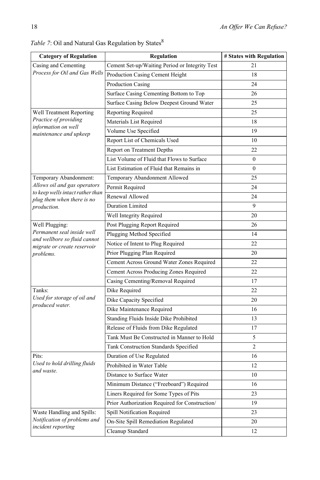| <b>Category of Regulation</b>                                  | <b>Regulation</b>                              | # States with Regulation |
|----------------------------------------------------------------|------------------------------------------------|--------------------------|
| Casing and Cementing                                           | Cement Set-up/Waiting Period or Integrity Test | 21                       |
| Process for Oil and Gas Wells                                  | Production Casing Cement Height                | 18                       |
|                                                                | Production Casing                              | 24                       |
|                                                                | Surface Casing Cementing Bottom to Top         | 26                       |
|                                                                | Surface Casing Below Deepest Ground Water      | 25                       |
| Well Treatment Reporting                                       | Reporting Required                             | 25                       |
| Practice of providing                                          | Materials List Required                        | 18                       |
| information on well<br>maintenance and upkeep                  | Volume Use Specified                           | 19                       |
|                                                                | Report List of Chemicals Used                  | 10                       |
|                                                                | Report on Treatment Depths                     | 22                       |
|                                                                | List Volume of Fluid that Flows to Surface     | $\mathbf{0}$             |
|                                                                | List Estimation of Fluid that Remains in       | $\mathbf{0}$             |
| Temporary Abandonment:                                         | Temporary Abandonment Allowed                  | 25                       |
| Allows oil and gas operators                                   | Permit Required                                | 24                       |
| to keep wells intact rather than<br>plug them when there is no | Renewal Allowed                                | 24                       |
| production.                                                    | <b>Duration Limited</b>                        | 9                        |
|                                                                | Well Integrity Required                        | 20                       |
| Well Plugging:                                                 | Post Plugging Report Required                  | 26                       |
| Permanent seal inside well<br>and wellbore so fluid cannot     | Plugging Method Specified                      | 14                       |
| migrate or create reservoir                                    | Notice of Intent to Plug Required              | 22                       |
| problems.                                                      | Prior Plugging Plan Required                   | 20                       |
|                                                                | Cement Across Ground Water Zones Required      | 22                       |
|                                                                | Cement Across Producing Zones Required         | 22                       |
|                                                                | Casing Cementing/Removal Required              | 17                       |
| Tanks:                                                         | Dike Required                                  | 22                       |
| Used for storage of oil and<br>produced water.                 | Dike Capacity Specified                        | 20                       |
|                                                                | Dike Maintenance Required                      | 16                       |
|                                                                | Standing Fluids Inside Dike Prohibited         | 13                       |
|                                                                | Release of Fluids from Dike Regulated          | 17                       |
|                                                                | Tank Must Be Constructed in Manner to Hold     | 5                        |
|                                                                | Tank Construction Standards Specified          | $\overline{2}$           |
| Pits:                                                          | Duration of Use Regulated                      | 16                       |
| Used to hold drilling fluids<br>and waste.                     | Prohibited in Water Table                      | 12                       |
|                                                                | Distance to Surface Water                      | $10\,$                   |
|                                                                | Minimum Distance ("Freeboard") Required        | 16                       |
|                                                                | Liners Required for Some Types of Pits         | 23                       |
|                                                                | Prior Authorization Required for Construction/ | 19                       |
| Waste Handling and Spills:                                     | Spill Notification Required                    | 23                       |
| Notification of problems and<br>incident reporting             | On-Site Spill Remediation Regulated            | 20                       |
|                                                                | Cleanup Standard                               | 12                       |

 $Table$  7: Oil and Natural Gas Regulation by  $\mathrm{States}^8$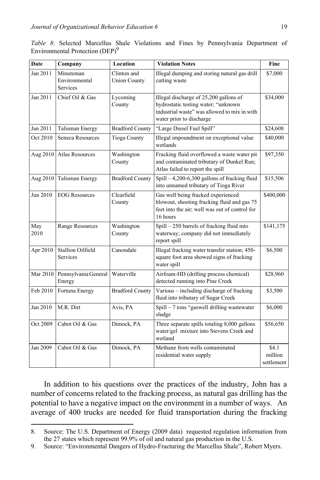|  |                                             |  |  | Table 8: Selected Marcellus Shale Violations and Fines by Pennsylvania Department of |  |
|--|---------------------------------------------|--|--|--------------------------------------------------------------------------------------|--|
|  | Environmental Protection (DEP) <sup>9</sup> |  |  |                                                                                      |  |

| <b>Date</b> | Company                                | Location                           | <b>Violation Notes</b>                                                                                                                                    | Fine                           |
|-------------|----------------------------------------|------------------------------------|-----------------------------------------------------------------------------------------------------------------------------------------------------------|--------------------------------|
| Jan 2011    | Minuteman<br>Environmental<br>Services | Clinton and<br><b>Union County</b> | Illegal dumping and storing natural gas drill<br>cutting waste                                                                                            | \$7,000                        |
| Jan 2011    | Chief Oil & Gas                        | Lycoming<br>County                 | Illegal discharge of 25,200 gallons of<br>hydrostatic testing water; "unknown<br>industrial waste" was allowed to mix in with<br>water prior to discharge | \$34,000                       |
| Jan 2011    | Talisman Energy                        | <b>Bradford County</b>             | "Large Diesel Fuel Spill"                                                                                                                                 | \$24,608                       |
| Oct 2010    | Seneca Resources                       | <b>Tioga County</b>                | Illegal impoundment on exceptional value<br>wetlands                                                                                                      | \$40,000                       |
| Aug 2010    | <b>Atlas Resources</b>                 | Washington<br>County               | Fracking fluid overflowed a waste water pit<br>and contaminated tributary of Dunkel Run;<br>Atlas failed to report the spill                              | \$97,350                       |
| Aug 2010    | Talisman Energy                        | <b>Bradford County</b>             | $Spill - 4,200-6,300$ gallons of fracking fluid<br>into unnamed tributary of Tioga River                                                                  | \$15,506                       |
| Jun 2010    | <b>EOG</b> Resources                   | Clearfield<br>County               | Gas well being fracked experienced<br>blowout, shooting fracking fluid and gas 75<br>feet into the air; well was out of control for<br>16 hours           | \$400,000                      |
| May<br>2010 | Range Resources                        | Washington<br>County               | Spill - 250 barrels of fracking fluid into<br>waterway; company did not immediately<br>report spill                                                       | \$141,175                      |
| Apr 2010    | <b>Stallion Oilfield</b><br>Services   | Canondale                          | Illegal fracking water transfer station; 450-<br>square foot area showed signs of fracking<br>water spill                                                 | \$6,500                        |
| Mar 2010    | Pennsylvania General<br>Energy         | Waterville                         | Airfoam-HD (drilling process chemical)<br>detected running into Pine Creek                                                                                | \$28,960                       |
| Feb 2010    | Fortuna Energy                         | <b>Bradford County</b>             | Various - including discharge of fracking<br>fluid into tributary of Sugar Creek                                                                          | \$3,500                        |
| Jan 2010    | M.R. Dirt                              | Avis, PA                           | Spill - 7 tons "gaswell drilling wastewater<br>sludge                                                                                                     | \$6,000                        |
| Oct 2009    | Cabot Oil & Gas                        | Dimock, PA                         | Three separate spills totaling 8,000 gallons<br>water/gel mixture into Stevens Creek and<br>wetland                                                       | \$56,650                       |
| Jan 2009    | Cabot Oil & Gas                        | Dimock, PA                         | Methane from wells contaminated<br>residential water supply                                                                                               | \$4.1<br>million<br>settlement |

In addition to his questions over the practices of the industry, John has a number of concerns related to the fracking process, as natural gas drilling has the potential to have a negative impact on the environment in a number of ways. An average of 400 trucks are needed for fluid transportation during the fracking

<sup>8.</sup> Source: The U.S. Department of Energy (2009 data) requested regulation information from the 27 states which represent 99.9% of oil and natural gas production in the U.S.

<sup>9.</sup> Source: "Environmental Dangers of Hydro-Fracturing the Marcellus Shale", Robert Myers.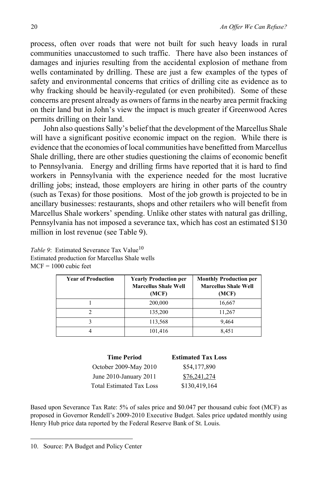process, often over roads that were not built for such heavy loads in rural communities unaccustomed to such traffic. There have also been instances of damages and injuries resulting from the accidental explosion of methane from wells contaminated by drilling. These are just a few examples of the types of safety and environmental concerns that critics of drilling cite as evidence as to why fracking should be heavily-regulated (or even prohibited). Some of these concerns are present already as owners of farms in the nearby area permit fracking on their land but in John's view the impact is much greater if Greenwood Acres permits drilling on their land.

John also questions Sally's belief that the development of the Marcellus Shale will have a significant positive economic impact on the region. While there is evidence that the economies of local communities have benefitted from Marcellus Shale drilling, there are other studies questioning the claims of economic benefit to Pennsylvania. Energy and drilling firms have reported that it is hard to find workers in Pennsylvania with the experience needed for the most lucrative drilling jobs; instead, those employers are hiring in other parts of the country (such as Texas) for those positions. Most of the job growth is projected to be in ancillary businesses: restaurants, shops and other retailers who will benefit from Marcellus Shale workers' spending. Unlike other states with natural gas drilling, Pennsylvania has not imposed a severance tax, which has cost an estimated \$130 million in lost revenue (see Table 9).

*Table 9*: Estimated Severance Tax Value<sup>10</sup> Estimated production for Marcellus Shale wells MCF = 1000 cubic feet

| <b>Year of Production</b> | <b>Yearly Production per</b><br><b>Marcellus Shale Well</b><br>(MCF) | <b>Monthly Production per</b><br><b>Marcellus Shale Well</b><br>(MCF) |
|---------------------------|----------------------------------------------------------------------|-----------------------------------------------------------------------|
|                           | 200,000                                                              | 16,667                                                                |
|                           | 135,200                                                              | 11,267                                                                |
|                           | 113,568                                                              | 9,464                                                                 |
|                           | 101,416                                                              | 8,451                                                                 |

|  | $MCF = 1000$ cubic feet |  |
|--|-------------------------|--|
|  |                         |  |

| <b>Time Period</b>              | <b>Estimated Tax Loss</b> |
|---------------------------------|---------------------------|
| October 2009-May 2010           | \$54,177,890              |
| June 2010-January 2011          | \$76,241,274              |
| <b>Total Estimated Tax Loss</b> | \$130,419,164             |
|                                 |                           |

Based upon Severance Tax Rate: 5% of sales price and \$0.047 per thousand cubic foot (MCF) as proposed in Governor Rendell's 2009-2010 Executive Budget. Sales price updated monthly using Henry Hub price data reported by the Federal Reserve Bank of St. Louis.

<sup>10.</sup> Source: PA Budget and Policy Center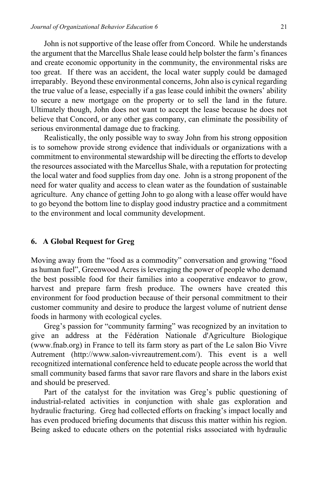John is not supportive of the lease offer from Concord. While he understands the argument that the Marcellus Shale lease could help bolster the farm's finances and create economic opportunity in the community, the environmental risks are too great. If there was an accident, the local water supply could be damaged irreparably. Beyond these environmental concerns, John also is cynical regarding the true value of a lease, especially if a gas lease could inhibit the owners' ability to secure a new mortgage on the property or to sell the land in the future. Ultimately though, John does not want to accept the lease because he does not believe that Concord, or any other gas company, can eliminate the possibility of serious environmental damage due to fracking.

Realistically, the only possible way to sway John from his strong opposition is to somehow provide strong evidence that individuals or organizations with a commitment to environmental stewardship will be directing the efforts to develop the resources associated with the Marcellus Shale, with a reputation for protecting the local water and food supplies from day one. John is a strong proponent of the need for water quality and access to clean water as the foundation of sustainable agriculture. Any chance of getting John to go along with a lease offer would have to go beyond the bottom line to display good industry practice and a commitment to the environment and local community development.

### **6. A Global Request for Greg**

Moving away from the "food as a commodity" conversation and growing "food as human fuel", Greenwood Acres is leveraging the power of people who demand the best possible food for their families into a cooperative endeavor to grow, harvest and prepare farm fresh produce. The owners have created this environment for food production because of their personal commitment to their customer community and desire to produce the largest volume of nutrient dense foods in harmony with ecological cycles.

Greg's passion for "community farming" was recognized by an invitation to give an address at the Fédération Nationale d'Agriculture Biologique (www.fnab.org) in France to tell its farm story as part of the Le salon Bio Vivre Autrement (http://www.salon-vivreautrement.com/). This event is a well recognitized international conference held to educate people across the world that small community based farms that savor rare flavors and share in the labors exist and should be preserved.

Part of the catalyst for the invitation was Greg's public questioning of industrial-related activities in conjunction with shale gas exploration and hydraulic fracturing. Greg had collected efforts on fracking's impact locally and has even produced briefing documents that discuss this matter within his region. Being asked to educate others on the potential risks associated with hydraulic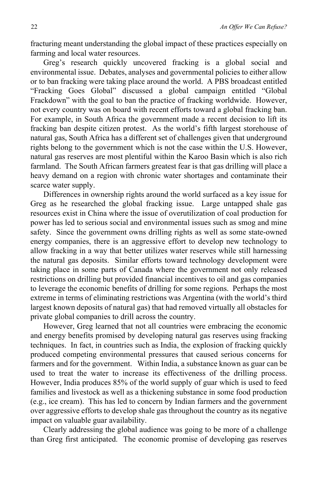fracturing meant understanding the global impact of these practices especially on farming and local water resources.

Greg's research quickly uncovered fracking is a global social and environmental issue. Debates, analyses and governmental policies to either allow or to ban fracking were taking place around the world. A PBS broadcast entitled "Fracking Goes Global" discussed a global campaign entitled "Global Frackdown" with the goal to ban the practice of fracking worldwide. However, not every country was on board with recent efforts toward a global fracking ban. For example, in South Africa the government made a recent decision to lift its fracking ban despite citizen protest. As the world's fifth largest storehouse of natural gas, South Africa has a different set of challenges given that underground rights belong to the government which is not the case within the U.S. However, natural gas reserves are most plentiful within the Karoo Basin which is also rich farmland. The South African farmers greatest fear is that gas drilling will place a heavy demand on a region with chronic water shortages and contaminate their scarce water supply.

Differences in ownership rights around the world surfaced as a key issue for Greg as he researched the global fracking issue. Large untapped shale gas resources exist in China where the issue of overutilization of coal production for power has led to serious social and environmental issues such as smog and mine safety. Since the government owns drilling rights as well as some state-owned energy companies, there is an aggressive effort to develop new technology to allow fracking in a way that better utilizes water reserves while still harnessing the natural gas deposits. Similar efforts toward technology development were taking place in some parts of Canada where the government not only released restrictions on drilling but provided financial incentives to oil and gas companies to leverage the economic benefits of drilling for some regions. Perhaps the most extreme in terms of eliminating restrictions was Argentina (with the world's third largest known deposits of natural gas) that had removed virtually all obstacles for private global companies to drill across the country.

However, Greg learned that not all countries were embracing the economic and energy benefits promised by developing natural gas reserves using fracking techniques. In fact, in countries such as India, the explosion of fracking quickly produced competing environmental pressures that caused serious concerns for farmers and for the government. Within India, a substance known as guar can be used to treat the water to increase its effectiveness of the drilling process. However, India produces 85% of the world supply of guar which is used to feed families and livestock as well as a thickening substance in some food production (e.g., ice cream). This has led to concern by Indian farmers and the government over aggressive efforts to develop shale gas throughout the country as its negative impact on valuable guar availability.

Clearly addressing the global audience was going to be more of a challenge than Greg first anticipated. The economic promise of developing gas reserves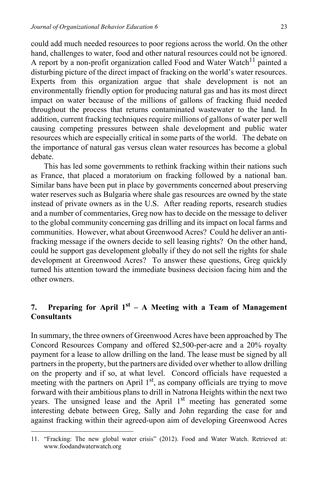could add much needed resources to poor regions across the world. On the other hand, challenges to water, food and other natural resources could not be ignored. A report by a non-profit organization called Food and Water Watch<sup>11</sup> painted a disturbing picture of the direct impact of fracking on the world's water resources. Experts from this organization argue that shale development is not an environmentally friendly option for producing natural gas and has its most direct impact on water because of the millions of gallons of fracking fluid needed throughout the process that returns contaminated wastewater to the land. In addition, current fracking techniques require millions of gallons of water per well causing competing pressures between shale development and public water resources which are especially critical in some parts of the world. The debate on the importance of natural gas versus clean water resources has become a global debate.

This has led some governments to rethink fracking within their nations such as France, that placed a moratorium on fracking followed by a national ban. Similar bans have been put in place by governments concerned about preserving water reserves such as Bulgaria where shale gas resources are owned by the state instead of private owners as in the U.S. After reading reports, research studies and a number of commentaries, Greg now has to decide on the message to deliver to the global community concerning gas drilling and its impact on local farms and communities. However, what about Greenwood Acres? Could he deliver an antifracking message if the owners decide to sell leasing rights? On the other hand, could he support gas development globally if they do not sell the rights for shale development at Greenwood Acres? To answer these questions, Greg quickly turned his attention toward the immediate business decision facing him and the other owners.

# **7. Preparing for April 1st – A Meeting with a Team of Management Consultants**

In summary, the three owners of Greenwood Acres have been approached by The Concord Resources Company and offered \$2,500-per-acre and a 20% royalty payment for a lease to allow drilling on the land. The lease must be signed by all partners in the property, but the partners are divided over whether to allow drilling on the property and if so, at what level. Concord officials have requested a meeting with the partners on April  $1<sup>st</sup>$ , as company officials are trying to move forward with their ambitious plans to drill in Natrona Heights within the next two years. The unsigned lease and the April  $1<sup>st</sup>$  meeting has generated some interesting debate between Greg, Sally and John regarding the case for and against fracking within their agreed-upon aim of developing Greenwood Acres

<sup>11. &</sup>quot;Fracking: The new global water crisis" (2012). Food and Water Watch. Retrieved at: www.foodandwaterwatch.org